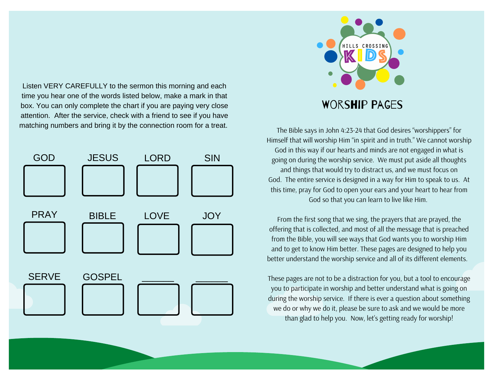Listen VERY CAREFULLY to the sermon this morning and each time you hear one of the words listed below, make a mark in that box. You can only complete the chart if you are paying very close attention. After the service, check with a friend to see if you have matching numbers and bring it by the connection room for a treat.





The Bible says in John 4:23-24 that God desires "worshippers" for Himself that will worship Him "in spirit and in truth." We cannot worship God in this way if our hearts and minds are not engaged in what is going on during the worship service. We must put aside all thoughts and things that would try to distract us, and we must focus on God. The entire service is designed in a way for Him to speak to us. At this time, pray for God to open your ears and your heart to hear from God so that you can learn to live like Him.

From the first song that we sing, the prayers that are prayed, the offering that is collected, and most of all the message that is preached from the Bible, you will see ways that God wants you to worship Him and to get to know Him better. These pages are designed to help you better understand the worship service and all of its different elements.

These pages are not to be a distraction for you, but a tool to encourage you to participate in worship and better understand what is going on during the worship service. If there is ever a question about something we do or why we do it, please be sure to ask and we would be more than glad to help you. Now, let's getting ready for worship!